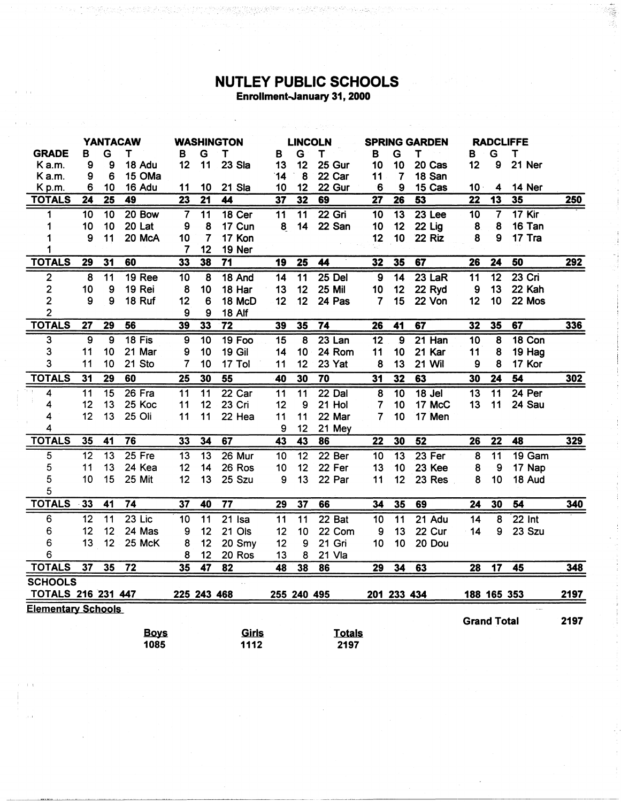## NUTLEY PUBLIC SCHOOLS Enrollment-January 31, 2000

 $\ddot{\phantom{1}}$ 

TE THE STATE OF THE STATE OF THE STATE OF THE REAL PROPERTY.

美国

the photography of the control of the control of

|                           | <b>YANTACAW</b> |                 |                 | <b>WASHINGTON</b> |                 | <b>LINCOLN</b>  |                 | <b>SPRING GARDEN</b> |                   |                 | <b>RADCLIFFE</b> |               |                         |                         |              |            |
|---------------------------|-----------------|-----------------|-----------------|-------------------|-----------------|-----------------|-----------------|----------------------|-------------------|-----------------|------------------|---------------|-------------------------|-------------------------|--------------|------------|
| <b>GRADE</b>              | в               | G               | т               | B                 | G               | Т               | B               | G                    | Т                 | в               | G                | т             | В                       | G                       | $\mathsf{T}$ |            |
| K a.m.                    | 9               | 9               | 18 Adu          | 12                | 11              | 23 Sla          | 13              | 12                   | 25 Gur            | 10              | 10               | 20 Cas        | 12                      | 9                       | 21 Ner       |            |
| Ka.m.                     | 9               | 6               | 15 OMa          |                   |                 |                 | 14              | 8                    | 22 Car            | 11              | 7                | 18 San        |                         |                         |              |            |
| Kp.m.                     | 6               | 10              | 16 Adu          | 11                | 10              | 21 Sla          | 10              | 12                   | 22 Gur            | 6               | 9                | 15 Cas        | 10 <sub>1</sub>         | 4                       | 14 Ner       |            |
| <b>TOTALS</b>             | 24              | $\overline{25}$ | 49              | $\overline{23}$   | $\overline{21}$ | 44              | $\overline{37}$ | $\overline{32}$      | 69                | $\overline{27}$ | $\overline{26}$  | 53            | $\overline{22}$         | $\overline{13}$         | 35           | 250        |
| 1                         | 10              | $\overline{10}$ | 20 Bow          |                   | 11              | 18 Cer          | 11              | $\overline{11}$      | $22$ Gri          | $\overline{10}$ | $\overline{13}$  | $23$ Lee      | 10                      | $\overline{\mathbf{7}}$ | $17$ Kir     |            |
| 1                         | 10              | 10              | 20 Lat          | 9                 | 8               | 17 Cun          | 8               | 14                   | 22 San            | 10              | 12               | 22 Lig        | 8                       | 8                       | 16 Tan       |            |
| 1                         | 9               | 11              | 20 McA          | 10                | 7               | 17 Kon          |                 |                      |                   | 12              | 10               | 22 Riz        | 8                       | 9                       | 17 Tra       |            |
| 1                         |                 |                 |                 | 7                 | 12              | 19 Ner          |                 |                      |                   |                 |                  |               |                         |                         |              |            |
| <b>TOTALS</b>             | 29              | $\overline{31}$ | 60              | $\overline{33}$   | 38              | $\overline{71}$ | 19              | $\overline{25}$      | 44                | 32              | 35               | 67            | $\overline{26}$         | $\overline{24}$         | 50           | 292        |
| $\overline{2}$            | 8               | 11              | <b>19 Ree</b>   | 10                | 8               | 18 And          | 14              | $\overline{11}$      | $25$ Del          | 9               | $\overline{14}$  | $23$ LaR      | 11                      | 12                      | $23$ Cri     |            |
| $\overline{\mathbf{c}}$   | 10              | 9               | 19 Rei          | 8                 | 10              | 18 Har          | 13              | 12                   | <b>25 Mil</b>     | 10              | 12               | 22 Ryd        | 9                       | 13                      | 22 Kah       |            |
| $\overline{2}$            | 9               | 9               | 18 Ruf          | 12                | 6               | 18 McD          | 12              | 12                   | 24 Pas            | 7               | 15               | 22 Von        | 12                      | 10                      | 22 Mos       |            |
| $\overline{c}$            |                 |                 |                 | 9                 | 9               | 18 Alf          |                 |                      |                   |                 |                  |               |                         |                         |              |            |
| <b>TOTALS</b>             | 27              | 29              | 56              | 39                | 33              | $\overline{72}$ | 39              | 35                   | $\overline{74}$   | $\overline{26}$ | 41               | 67            | 32                      | 35                      | 67           | 336        |
| 3                         | $\overline{9}$  | $\overline{9}$  | 18 Fis          | $\overline{9}$    | $\overline{10}$ | <b>19 Foo</b>   | $\overline{15}$ | 8                    | $23$ Lan          | $\overline{12}$ | $\overline{9}$   | $21$ Han      | 10                      | $\overline{\mathbf{8}}$ | 18 Con       |            |
| 3                         | 11              | 10              | 21 Mar          | 9                 | 10              | <b>19 Gil</b>   | 14              | 10                   | 24 Rom            | 11              | 10               | 21 Kar        | 11                      | 8                       | 19 Hag       |            |
| 3                         | 11              | 10              | 21 Sto          | 7                 | 10              | 17 Tol          | 11              | 12                   | 23 Yat            | 8               | 13               | <b>21 Wil</b> | 9                       | 8                       | 17 Kor       |            |
| <b>TOTALS</b>             | 31              | 29              | 60              | 25                | 30              | 55              | 40              | 30                   | 70                | 31              | $\overline{32}$  | 63            | 30                      | $\overline{24}$         | 54           | <u>302</u> |
| 4                         | $\overline{11}$ | $\overline{15}$ | $26$ Fra        | $\overline{11}$   | $\overline{11}$ | 22 Car          | $\overline{11}$ | $\overline{11}$      | $22$ Dal          | $\overline{8}$  | $\overline{10}$  | $18$ Jel      | $\overline{13}$         | $\overline{11}$         | $24$ Per     |            |
| 4                         | 12              | 13              | 25 Koc          | 11                | 12              | 23 Cri          | 12              | 9                    | 21 Hol            | 7               | 10               | 17 McC        | 13                      | 11                      | 24 Sau       |            |
| 4                         | 12              | 13              | 25 Oli          | 11                | 11              | 22 Hea          | 11              | 11                   | 22 Mar            | $\overline{7}$  | 10               | 17 Men        |                         |                         |              |            |
| 4                         |                 |                 |                 |                   |                 |                 | 9               | 12                   | 21 Mey            |                 |                  |               |                         |                         |              |            |
| <b>TOTALS</b>             | 35              | 41              | $\overline{76}$ | 33                | $\overline{34}$ | 67              | 43              | 43                   | 86                | $\overline{22}$ | 30               | 52            | 26                      | $\overline{22}$         | 48           | 329        |
| 5                         | $\overline{12}$ | $\overline{13}$ | $25$ Fre        | $\overline{13}$   | $\overline{13}$ | $26$ Mur        | 10              | 12                   | 22 <sub>ber</sub> | $\overline{10}$ | $\overline{13}$  | $23$ Fer      | $\overline{\mathbf{8}}$ | $\overline{11}$         | $19$ Gam     |            |
| 5                         | 11              | 13              | 24 Kea          | 12                | 14              | 26 Ros          | 10              | 12                   | 22 Fer            | 13              | 10               | 23 Kee        | 8                       | 9                       | 17 Nap       |            |
| 5                         | 10              | 15              | 25 Mit          | 12                | 13              | 25 Szu          | 9               | 13                   | 22 Par            | 11              | 12               | 23 Res        | 8                       | 10                      | 18 Aud       |            |
| 5                         |                 |                 |                 |                   |                 |                 |                 |                      |                   |                 |                  |               |                         |                         |              |            |
| <b>TOTALS</b>             | 33              | 41              | 74              | 37                | 40              | $\overline{77}$ | 29              | 37                   | 66                | 34              | 35               | 69            | 24                      | 30                      | 54           | 340        |
| 6                         | 12              | $\overline{11}$ | $23$ Lic        | 10                | 11              | $21$ Isa        | 11              | $\overline{11}$      | 22 Bat            | 10              | $\overline{11}$  | $21$ Adu      | 14                      | 8                       | $22$ Int     |            |
| 6                         | 12              | 12              | 24 Mas          | 9                 | 12              | 21 Ols          | 12              | 10                   | 22 Com            | 9               | 13               | 22 Cur        | 14                      | 9                       | 23 Szu       |            |
| 6                         | 13              | 12              | 25 McK          | 8                 | 12              | 20 Smy          | 12              | 9                    | 21 Gri            | 10              | 10               | 20 Dou        |                         |                         |              |            |
| 6                         |                 |                 |                 | 8                 | 12              | 20 Ros          | 13              | 8                    | 21 Vla            |                 |                  |               |                         |                         |              |            |
| <b>TOTALS</b>             | 37              | 35              | 72              | 35                | 47              | 82              | 48              | 38                   | 86                | 29              | 34               | 63            | 28                      | $\overline{17}$         | 45           | 348        |
| <b>SCHOOLS</b>            |                 |                 |                 |                   |                 |                 |                 |                      |                   |                 |                  |               |                         |                         |              |            |
| <b>TOTALS 216 231 447</b> |                 |                 |                 | 225 243 468       |                 |                 |                 | 255 240 495          |                   |                 | 201 233 434      |               |                         | 188 165 353             |              | 2197       |
| <b>Elementary Schools</b> |                 |                 |                 |                   |                 |                 |                 |                      |                   |                 |                  |               |                         |                         |              |            |
|                           |                 |                 |                 |                   |                 |                 |                 |                      |                   |                 |                  |               | <b>Grand Total</b>      |                         |              | 2197       |
|                           |                 |                 | <b>Boys</b>     |                   |                 | Girls           |                 |                      | <b>Totals</b>     |                 |                  |               |                         |                         |              |            |
|                           |                 |                 | 1085            |                   |                 | 1112            |                 |                      | 2197              |                 |                  |               |                         |                         |              |            |